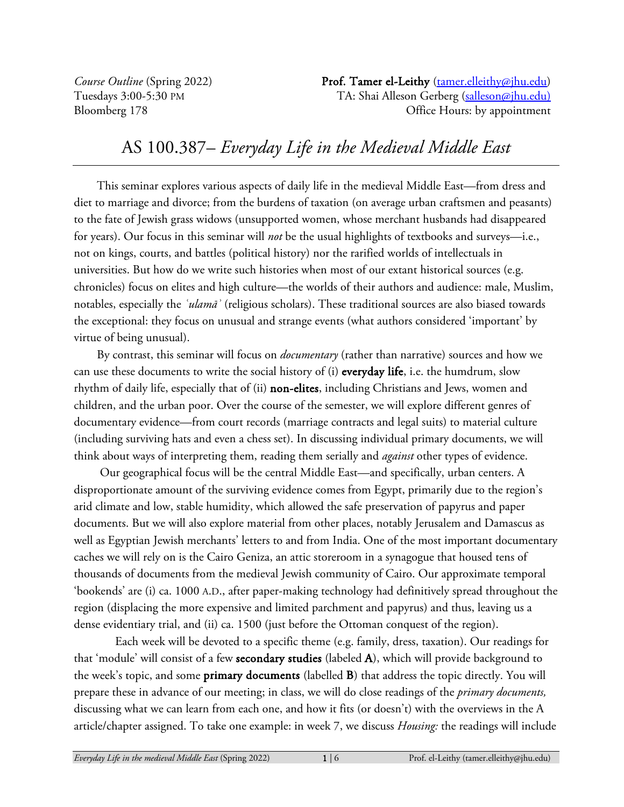*Course Outline* (Spring 2022) **Prof. Tamer el-Leithy** (tamer.elleithy@jhu.edu) Tuesdays 3:00-5:30 PM TA: Shai Alleson Gerberg (salleson@jhu.edu) Bloomberg 178 CH CHOUTS: by appointment

# AS 100.387– *Everyday Life in the Medieval Middle East*

This seminar explores various aspects of daily life in the medieval Middle East—from dress and diet to marriage and divorce; from the burdens of taxation (on average urban craftsmen and peasants) to the fate of Jewish grass widows (unsupported women, whose merchant husbands had disappeared for years). Our focus in this seminar will *not* be the usual highlights of textbooks and surveys—i.e., not on kings, courts, and battles (political history) nor the rarified worlds of intellectuals in universities. But how do we write such histories when most of our extant historical sources (e.g. chronicles) focus on elites and high culture—the worlds of their authors and audience: male, Muslim, notables, especially the *ʿulamāʾ* (religious scholars). These traditional sources are also biased towards the exceptional: they focus on unusual and strange events (what authors considered 'important' by virtue of being unusual).

By contrast, this seminar will focus on *documentary* (rather than narrative) sources and how we can use these documents to write the social history of (i) everyday life, i.e. the humdrum, slow rhythm of daily life, especially that of (ii) non-elites, including Christians and Jews, women and children, and the urban poor. Over the course of the semester, we will explore different genres of documentary evidence—from court records (marriage contracts and legal suits) to material culture (including surviving hats and even a chess set). In discussing individual primary documents, we will think about ways of interpreting them, reading them serially and *against* other types of evidence.

Our geographical focus will be the central Middle East—and specifically, urban centers. A disproportionate amount of the surviving evidence comes from Egypt, primarily due to the region's arid climate and low, stable humidity, which allowed the safe preservation of papyrus and paper documents. But we will also explore material from other places, notably Jerusalem and Damascus as well as Egyptian Jewish merchants' letters to and from India. One of the most important documentary caches we will rely on is the Cairo Geniza, an attic storeroom in a synagogue that housed tens of thousands of documents from the medieval Jewish community of Cairo. Our approximate temporal 'bookends' are (i) ca. 1000 A.D., after paper-making technology had definitively spread throughout the region (displacing the more expensive and limited parchment and papyrus) and thus, leaving us a dense evidentiary trial, and (ii) ca. 1500 (just before the Ottoman conquest of the region).

Each week will be devoted to a specific theme (e.g. family, dress, taxation). Our readings for that 'module' will consist of a few secondary studies (labeled A), which will provide background to the week's topic, and some primary documents (labelled B) that address the topic directly. You will prepare these in advance of our meeting; in class, we will do close readings of the *primary documents,*  discussing what we can learn from each one, and how it fits (or doesn't) with the overviews in the A article/chapter assigned. To take one example: in week 7, we discuss *Housing:* the readings will include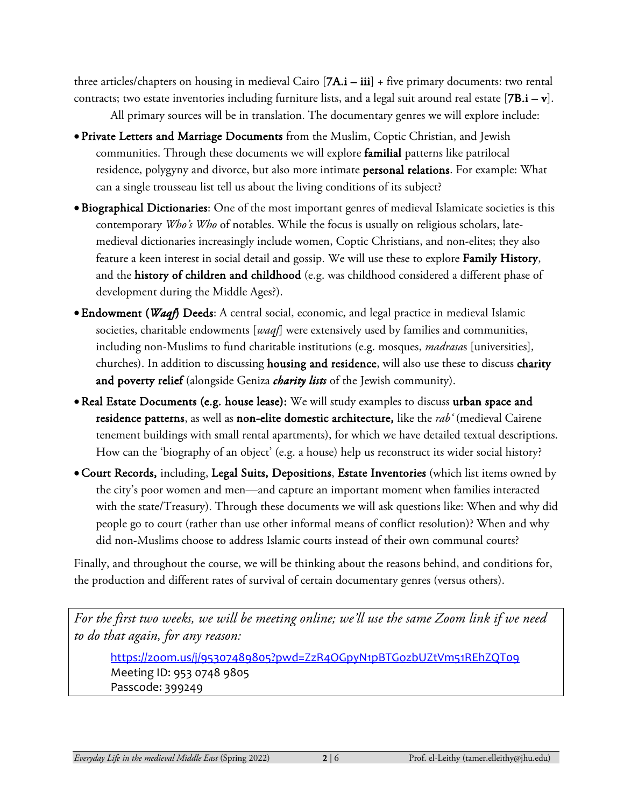three articles/chapters on housing in medieval Cairo  $[7A.i - iii] + five primary documents: two rental$ contracts; two estate inventories including furniture lists, and a legal suit around real estate  $[7B.i - v]$ . All primary sources will be in translation. The documentary genres we will explore include:

- Private Letters and Marriage Documents from the Muslim, Coptic Christian, and Jewish communities. Through these documents we will explore familial patterns like patrilocal residence, polygyny and divorce, but also more intimate personal relations. For example: What can a single trousseau list tell us about the living conditions of its subject?
- •Biographical Dictionaries: One of the most important genres of medieval Islamicate societies is this contemporary *Who's Who* of notables. While the focus is usually on religious scholars, latemedieval dictionaries increasingly include women, Coptic Christians, and non-elites; they also feature a keen interest in social detail and gossip. We will use these to explore Family History, and the history of children and childhood (e.g. was childhood considered a different phase of development during the Middle Ages?).
- •Endowment (*Waqf*) Deeds: A central social, economic, and legal practice in medieval Islamic societies, charitable endowments [*waqf*] were extensively used by families and communities, including non-Muslims to fund charitable institutions (e.g. mosques, *madrasa*s [universities], churches). In addition to discussing housing and residence, will also use these to discuss charity and poverty relief (alongside Geniza *charity lists* of the Jewish community).
- •Real Estate Documents (e.g. house lease): We will study examples to discuss urban space and residence patterns, as well as non-elite domestic architecture, like the *rab'* (medieval Cairene tenement buildings with small rental apartments), for which we have detailed textual descriptions. How can the 'biography of an object' (e.g. a house) help us reconstruct its wider social history?
- •Court Records, including, Legal Suits, Depositions, Estate Inventories (which list items owned by the city's poor women and men—and capture an important moment when families interacted with the state/Treasury). Through these documents we will ask questions like: When and why did people go to court (rather than use other informal means of conflict resolution)? When and why did non-Muslims choose to address Islamic courts instead of their own communal courts?

Finally, and throughout the course, we will be thinking about the reasons behind, and conditions for, the production and different rates of survival of certain documentary genres (versus others).

*For the first two weeks, we will be meeting online; we'll use the same Zoom link if we need to do that again, for any reason:*

https://zoom.us/j/95307489805?pwd=ZzR4OGpyN1pBTGozbUZtVm51REhZQT09 Meeting ID: 953 0748 9805 Passcode: 399249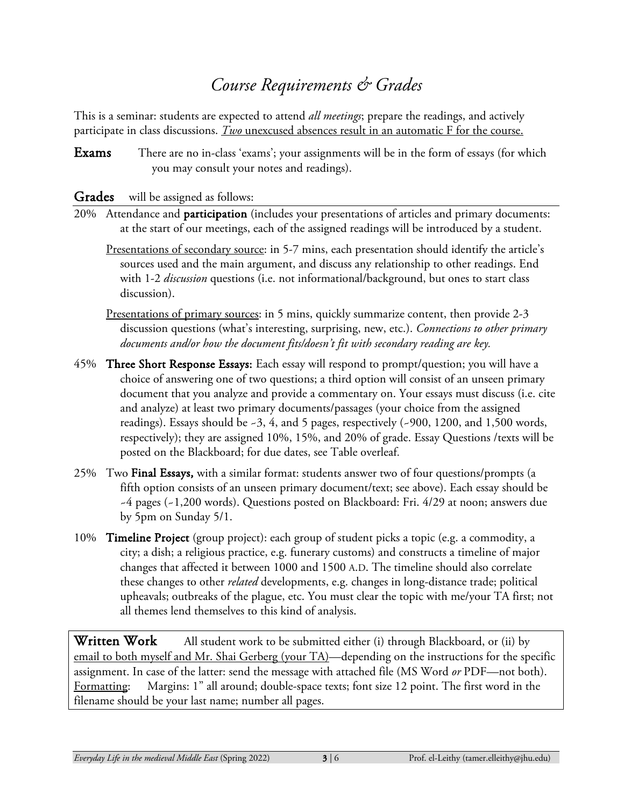# *Course Requirements & Grades*

This is a seminar: students are expected to attend *all meetings*; prepare the readings, and actively participate in class discussions. *Two* unexcused absences result in an automatic F for the course.

Exams There are no in-class 'exams'; your assignments will be in the form of essays (for which you may consult your notes and readings).

#### Grades will be assigned as follows:

- 20% Attendance and participation (includes your presentations of articles and primary documents: at the start of our meetings, each of the assigned readings will be introduced by a student.
	- Presentations of secondary source: in 5-7 mins, each presentation should identify the article's sources used and the main argument, and discuss any relationship to other readings. End with 1-2 *discussion* questions (i.e. not informational/background, but ones to start class discussion).
	- Presentations of primary sources: in 5 mins, quickly summarize content, then provide 2-3 discussion questions (what's interesting, surprising, new, etc.). *Connections to other primary documents and/or how the document fits/doesn't fit with secondary reading are key.*
- 45% Three Short Response Essays: Each essay will respond to prompt/question; you will have a choice of answering one of two questions; a third option will consist of an unseen primary document that you analyze and provide a commentary on. Your essays must discuss (i.e. cite and analyze) at least two primary documents/passages (your choice from the assigned readings). Essays should be  $-3$ , 4, and 5 pages, respectively ( $-900$ , 1200, and 1,500 words, respectively); they are assigned 10%, 15%, and 20% of grade. Essay Questions /texts will be posted on the Blackboard; for due dates, see Table overleaf*.*
- 25% Two Final Essays, with a similar format: students answer two of four questions/prompts (a fifth option consists of an unseen primary document/text; see above). Each essay should be ~4 pages (~1,200 words). Questions posted on Blackboard: Fri. 4/29 at noon; answers due by 5pm on Sunday 5/1.
- 10% Timeline Project (group project): each group of student picks a topic (e.g. a commodity, a city; a dish; a religious practice, e.g. funerary customs) and constructs a timeline of major changes that affected it between 1000 and 1500 A.D. The timeline should also correlate these changes to other *related* developments, e.g. changes in long-distance trade; political upheavals; outbreaks of the plague, etc. You must clear the topic with me/your TA first; not all themes lend themselves to this kind of analysis.

Written Work All student work to be submitted either (i) through Blackboard, or (ii) by email to both myself and Mr. Shai Gerberg (your TA)—depending on the instructions for the specific assignment. In case of the latter: send the message with attached file (MS Word *or* PDF—not both). Formatting: Margins: 1" all around; double-space texts; font size 12 point. The first word in the filename should be your last name; number all pages.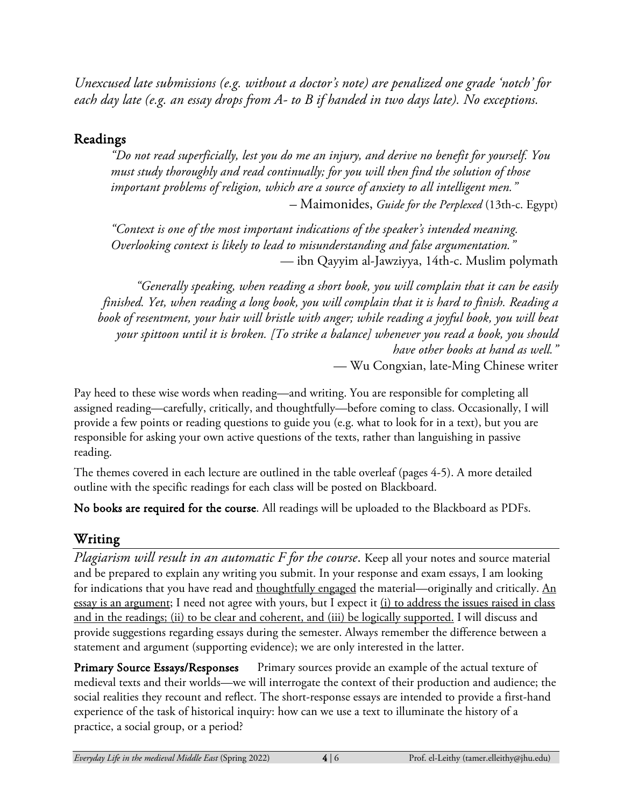*Unexcused late submissions (e.g. without a doctor's note) are penalized one grade 'notch' for each day late (e.g. an essay drops from A- to B if handed in two days late). No exceptions.*

### Readings

*"Do not read superficially, lest you do me an injury, and derive no benefit for yourself. You must study thoroughly and read continually; for you will then find the solution of those important problems of religion, which are a source of anxiety to all intelligent men." –* Maimonides, *Guide for the Perplexed* (13th-c. Egypt)

*"Context is one of the most important indications of the speaker's intended meaning. Overlooking context is likely to lead to misunderstanding and false argumentation."* — ibn Qayyim al-Jawziyya, 14th-c. Muslim polymath

*"Generally speaking, when reading a short book, you will complain that it can be easily finished. Yet, when reading a long book, you will complain that it is hard to finish. Reading a book of resentment, your hair will bristle with anger; while reading a joyful book, you will beat your spittoon until it is broken. [To strike a balance] whenever you read a book, you should have other books at hand as well."* — Wu Congxian, late-Ming Chinese writer

Pay heed to these wise words when reading—and writing. You are responsible for completing all assigned reading—carefully, critically, and thoughtfully—before coming to class. Occasionally, I will provide a few points or reading questions to guide you (e.g. what to look for in a text), but you are responsible for asking your own active questions of the texts, rather than languishing in passive reading.

The themes covered in each lecture are outlined in the table overleaf (pages 4-5). A more detailed outline with the specific readings for each class will be posted on Blackboard.

No books are required for the course. All readings will be uploaded to the Blackboard as PDFs.

### Writing

*Plagiarism will result in an automatic F for the course*. Keep all your notes and source material and be prepared to explain any writing you submit. In your response and exam essays, I am looking for indications that you have read and thoughtfully engaged the material—originally and critically. An essay is an argument; I need not agree with yours, but I expect it (i) to address the issues raised in class and in the readings; (ii) to be clear and coherent, and (iii) be logically supported. I will discuss and provide suggestions regarding essays during the semester. Always remember the difference between a statement and argument (supporting evidence); we are only interested in the latter.

Primary Source Essays/Responses Primary sources provide an example of the actual texture of medieval texts and their worlds—we will interrogate the context of their production and audience; the social realities they recount and reflect. The short-response essays are intended to provide a first-hand experience of the task of historical inquiry: how can we use a text to illuminate the history of a practice, a social group, or a period?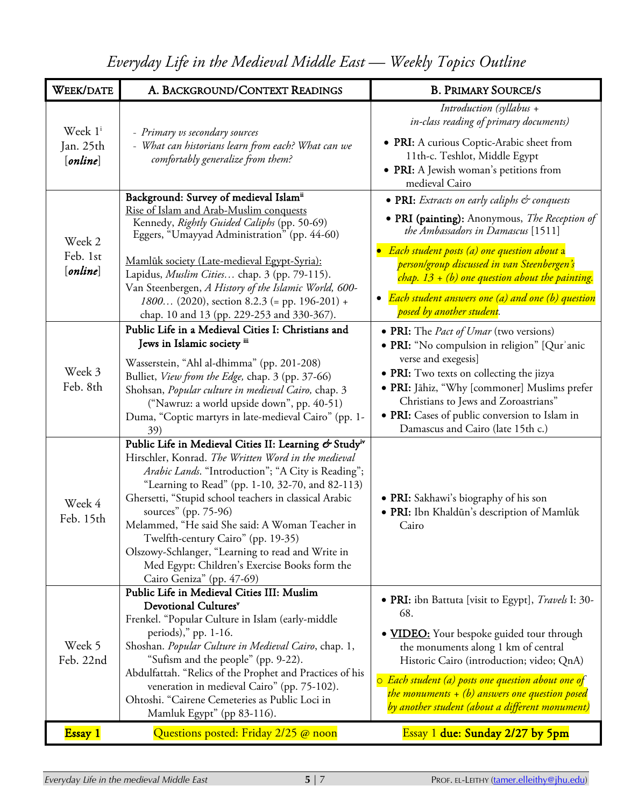| <b>WEEK/DATE</b>                             | A. BACKGROUND/CONTEXT READINGS                                                                                                                                                                                                                                                                                                                                                                                                                                                                                                                   | <b>B. PRIMARY SOURCE/S</b>                                                                                                                                                                                                                                                                                                                                                 |
|----------------------------------------------|--------------------------------------------------------------------------------------------------------------------------------------------------------------------------------------------------------------------------------------------------------------------------------------------------------------------------------------------------------------------------------------------------------------------------------------------------------------------------------------------------------------------------------------------------|----------------------------------------------------------------------------------------------------------------------------------------------------------------------------------------------------------------------------------------------------------------------------------------------------------------------------------------------------------------------------|
| Week 1 <sup>i</sup><br>Jan. 25th<br>[online] | - Primary vs secondary sources<br>- What can historians learn from each? What can we<br>comfortably generalize from them?                                                                                                                                                                                                                                                                                                                                                                                                                        | Introduction (syllabus +<br>in-class reading of primary documents)<br>• PRI: A curious Coptic-Arabic sheet from<br>11th-c. Teshlot, Middle Egypt<br>• PRI: A Jewish woman's petitions from<br>medieval Cairo                                                                                                                                                               |
| Week 2<br>Feb. 1st<br>[online]               | Background: Survey of medieval Islamii<br>Rise of Islam and Arab-Muslim conquests<br>Kennedy, Rightly Guided Caliphs (pp. 50-69)<br>Eggers, "Umayyad Administration" (pp. 44-60)<br>Mamlūk society (Late-medieval Egypt-Syria):<br>Lapidus, Muslim Cities chap. 3 (pp. 79-115).<br>Van Steenbergen, A History of the Islamic World, 600-<br>1800 (2020), section 8.2.3 (= pp. 196-201) +<br>chap. 10 and 13 (pp. 229-253 and 330-367).                                                                                                           | • PRI: Extracts on early caliphs & conquests<br>· PRI (painting): Anonymous, The Reception of<br>the Ambassadors in Damascus [1511]<br>Each student posts (a) one question about a<br>person/group discussed in van Steenbergen's<br>chap. $13 + (b)$ one question about the painting.<br>• Each student answers one (a) and one (b) question<br>posed by another student. |
| Week 3<br>Feb. 8th                           | Public Life in a Medieval Cities I: Christians and<br>Jews in Islamic society iii<br>Wasserstein, "Ahl al-dhimma" (pp. 201-208)<br>Bulliet, View from the Edge, chap. 3 (pp. 37-66)<br>Shohsan, Popular culture in medieval Cairo, chap. 3<br>("Nawruz: a world upside down", pp. 40-51)<br>Duma, "Coptic martyrs in late-medieval Cairo" (pp. 1-<br>39)                                                                                                                                                                                         | • PRI: The <i>Pact of Umar</i> (two versions)<br>• PRI: "No compulsion in religion" [Qur'anic<br>verse and exegesis]<br>• PRI: Two texts on collecting the jizya<br>· PRI: Jāhiz, "Why [commoner] Muslims prefer<br>Christians to Jews and Zoroastrians"<br>· PRI: Cases of public conversion to Islam in<br>Damascus and Cairo (late 15th c.)                             |
| Week 4<br>Feb. 15th                          | Public Life in Medieval Cities II: Learning & Study <sup>iv</sup><br>Hirschler, Konrad. The Written Word in the medieval<br>Arabic Lands. "Introduction"; "A City is Reading";<br>"Learning to Read" (pp. 1-10, 32-70, and 82-113)<br>Ghersetti, "Stupid school teachers in classical Arabic<br>sources" (pp. 75-96)<br>Melammed, "He said She said: A Woman Teacher in<br>Twelfth-century Cairo" (pp. 19-35)<br>Olszowy-Schlanger, "Learning to read and Write in<br>Med Egypt: Children's Exercise Books form the<br>Cairo Geniza" (pp. 47-69) | • PRI: Sakhawi's biography of his son<br>· PRI: Ibn Khaldūn's description of Mamlūk<br>Cairo                                                                                                                                                                                                                                                                               |
| Week 5<br>Feb. 22nd                          | Public Life in Medieval Cities III: Muslim<br>Devotional Cultures <sup>v</sup><br>Frenkel. "Popular Culture in Islam (early-middle<br>periods)," pp. 1-16.<br>Shoshan. Popular Culture in Medieval Cairo, chap. 1,<br>"Sufism and the people" (pp. 9-22).<br>Abdulfattah. "Relics of the Prophet and Practices of his<br>veneration in medieval Cairo" (pp. 75-102).<br>Ohtoshi. "Cairene Cemeteries as Public Loci in<br>Mamluk Egypt" (pp 83-116).                                                                                             | • PRI: ibn Battuta [visit to Egypt], Travels I: 30-<br>68.<br>• <b>VIDEO:</b> Your bespoke guided tour through<br>the monuments along 1 km of central<br>Historic Cairo (introduction; video; QnA)<br>$\circ$ Each student (a) posts one question about one of<br>the monuments $+$ (b) answers one question posed<br>by another student (about a different monument)      |
| Essay 1                                      | Questions posted: Friday 2/25 @ noon                                                                                                                                                                                                                                                                                                                                                                                                                                                                                                             | Essay 1 due: Sunday 2/27 by 5pm                                                                                                                                                                                                                                                                                                                                            |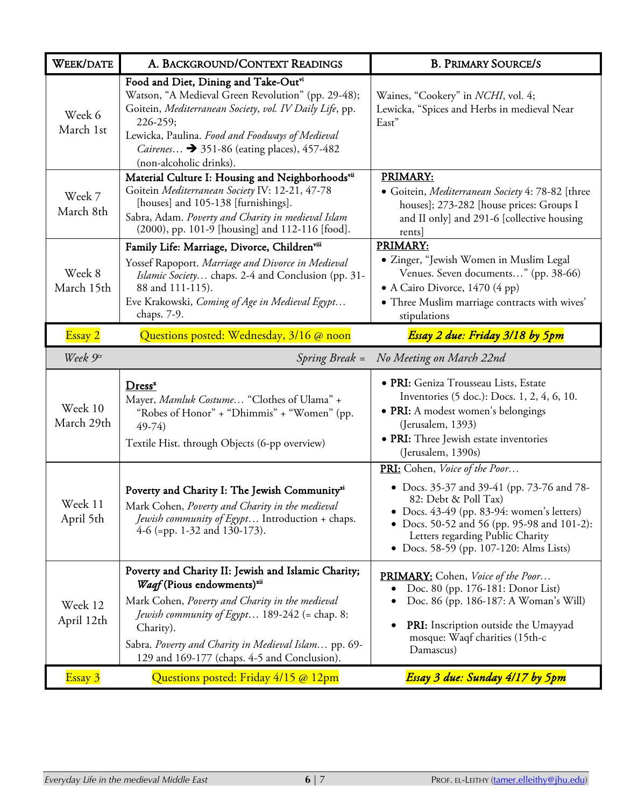| <b>WEEK/DATE</b>      | A. BACKGROUND/CONTEXT READINGS                                                                                                                                                                                                                                                                                                | <b>B. PRIMARY SOURCE/S</b>                                                                                                                                                                                                                                                      |
|-----------------------|-------------------------------------------------------------------------------------------------------------------------------------------------------------------------------------------------------------------------------------------------------------------------------------------------------------------------------|---------------------------------------------------------------------------------------------------------------------------------------------------------------------------------------------------------------------------------------------------------------------------------|
| Week 6<br>March 1st   | Food and Diet, Dining and Take-Outvi<br>Watson, "A Medieval Green Revolution" (pp. 29-48);<br>Goitein, Mediterranean Society, vol. IV Daily Life, pp.<br>226-259;<br>Lewicka, Paulina. Food and Foodways of Medieval<br><i>Cairenes</i> $\rightarrow$ 351-86 (eating places), 457-482<br>(non-alcoholic drinks).              | Waines, "Cookery" in <i>NCHI</i> , vol. 4;<br>Lewicka, "Spices and Herbs in medieval Near<br>East"                                                                                                                                                                              |
| Week 7<br>March 8th   | Material Culture I: Housing and Neighborhoodsvii<br>Goitein Mediterranean Society IV: 12-21, 47-78<br>[houses] and 105-138 [furnishings].<br>Sabra, Adam. Poverty and Charity in medieval Islam<br>(2000), pp. 101-9 [housing] and 112-116 [food].                                                                            | PRIMARY:<br>• Goitein, Mediterranean Society 4: 78-82 [three<br>houses]; 273-282 [house prices: Groups I<br>and II only] and 291-6 [collective housing<br>rents]                                                                                                                |
| Week 8<br>March 15th  | Family Life: Marriage, Divorce, Childrenviii<br>Yossef Rapoport. Marriage and Divorce in Medieval<br><i>Islamic Society</i> chaps. 2-4 and Conclusion (pp. 31-<br>88 and 111-115).<br>Eve Krakowski, Coming of Age in Medieval Egypt<br>chaps. 7-9.                                                                           | PRIMARY:<br>• Zinger, "Jewish Women in Muslim Legal<br>Venues. Seven documents" (pp. 38-66)<br>• A Cairo Divorce, 1470 (4 pp)<br>· Three Muslim marriage contracts with wives'<br>stipulations                                                                                  |
| Essay 2               | Questions posted: Wednesday, 3/16 @ noon                                                                                                                                                                                                                                                                                      | Essay 2 due: Friday 3/18 by 5pm                                                                                                                                                                                                                                                 |
| Week 9ix              | Spring Break =                                                                                                                                                                                                                                                                                                                | No Meeting on March 22nd                                                                                                                                                                                                                                                        |
| Week 10<br>March 29th | Dress <sup>x</sup><br>Mayer, Mamluk Costume "Clothes of Ulama" +<br>"Robes of Honor" + "Dhimmis" + "Women" (pp.<br>$49-74$<br>Textile Hist. through Objects (6-pp overview)                                                                                                                                                   | · PRI: Geniza Trousseau Lists, Estate<br>Inventories (5 doc.): Docs. 1, 2, 4, 6, 10.<br>• PRI: A modest women's belongings<br>(Jerusalem, 1393)<br>• PRI: Three Jewish estate inventories<br>(Jerusalem, 1390s)                                                                 |
| Week 11<br>April 5th  | Poverty and Charity I: The Jewish Communityxi<br>Mark Cohen, Poverty and Charity in the medieval<br>Jewish community of Egypt Introduction + chaps.<br>$4-6$ (=pp. 1-32 and 130-173).                                                                                                                                         | PRI: Cohen, Voice of the Poor<br>• Docs. 35-37 and 39-41 (pp. 73-76 and 78-<br>82: Debt & Poll Tax)<br>• Docs. 43-49 (pp. 83-94: women's letters)<br>• Docs. 50-52 and 56 (pp. 95-98 and 101-2):<br>Letters regarding Public Charity<br>• Docs. 58-59 (pp. 107-120: Alms Lists) |
| Week 12<br>April 12th | Poverty and Charity II: Jewish and Islamic Charity;<br>Waqf (Pious endowments) <sup>xii</sup><br>Mark Cohen, Poverty and Charity in the medieval<br><i>Jewish community of Egypt</i> 189-242 (= chap. 8:<br>Charity).<br>Sabra. Poverty and Charity in Medieval Islam pp. 69-<br>129 and 169-177 (chaps. 4-5 and Conclusion). | <b>PRIMARY:</b> Cohen, Voice of the Poor<br>Doc. 80 (pp. 176-181: Donor List)<br>Doc. 86 (pp. 186-187: A Woman's Will)<br>$\bullet$<br><b>PRI:</b> Inscription outside the Umayyad<br>$\bullet$<br>mosque: Waqf charities (15th-c<br>Damascus)                                  |
| Essay 3               | Questions posted: Friday 4/15 @ 12pm                                                                                                                                                                                                                                                                                          | Essay 3 due: Sunday 4/17 by 5pm                                                                                                                                                                                                                                                 |